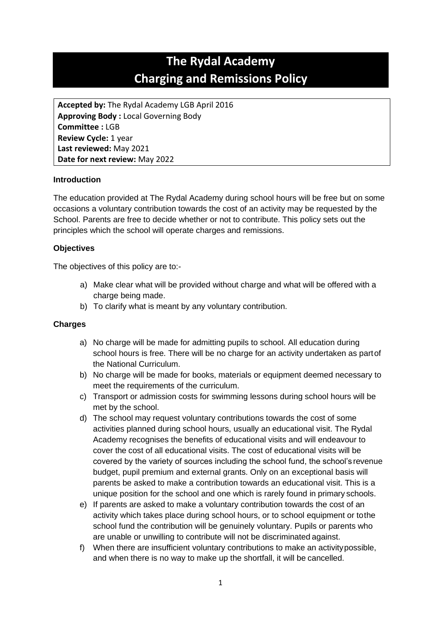# **The Rydal Academy Charging and Remissions Policy**

**Accepted by:** The Rydal Academy LGB April 2016 **Approving Body :** Local Governing Body **Committee :** LGB **Review Cycle:** 1 year **Last reviewed:** May 2021 **Date for next review:** May 2022

# **Introduction**

The education provided at The Rydal Academy during school hours will be free but on some occasions a voluntary contribution towards the cost of an activity may be requested by the School. Parents are free to decide whether or not to contribute. This policy sets out the principles which the school will operate charges and remissions.

# **Objectives**

The objectives of this policy are to:-

- a) Make clear what will be provided without charge and what will be offered with a charge being made.
- b) To clarify what is meant by any voluntary contribution.

### **Charges**

- a) No charge will be made for admitting pupils to school. All education during school hours is free. There will be no charge for an activity undertaken as partof the National Curriculum.
- b) No charge will be made for books, materials or equipment deemed necessary to meet the requirements of the curriculum.
- c) Transport or admission costs for swimming lessons during school hours will be met by the school.
- d) The school may request voluntary contributions towards the cost of some activities planned during school hours, usually an educational visit. The Rydal Academy recognises the benefits of educational visits and will endeavour to cover the cost of all educational visits. The cost of educational visits will be covered by the variety of sources including the school fund, the school's revenue budget, pupil premium and external grants. Only on an exceptional basis will parents be asked to make a contribution towards an educational visit. This is a unique position for the school and one which is rarely found in primary schools.
- e) If parents are asked to make a voluntary contribution towards the cost of an activity which takes place during school hours, or to school equipment or tothe school fund the contribution will be genuinely voluntary. Pupils or parents who are unable or unwilling to contribute will not be discriminated against.
- f) When there are insufficient voluntary contributions to make an activitypossible, and when there is no way to make up the shortfall, it will be cancelled.